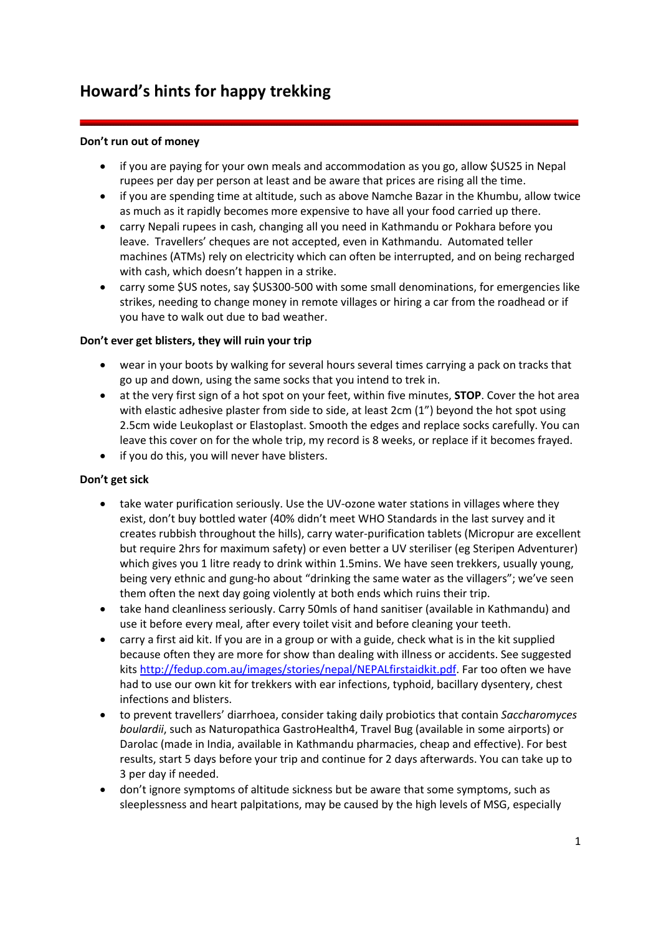# **Howard's hints for happy trekking**

## **Don't run out of money**

- if you are paying for your own meals and accommodation as you go, allow \$US25 in Nepal rupees per day per person at least and be aware that prices are rising all the time.
- if you are spending time at altitude, such as above Namche Bazar in the Khumbu, allow twice as much as it rapidly becomes more expensive to have all your food carried up there.
- carry Nepali rupees in cash, changing all you need in Kathmandu or Pokhara before you leave. Travellers' cheques are not accepted, even in Kathmandu. Automated teller machines (ATMs) rely on electricity which can often be interrupted, and on being recharged with cash, which doesn't happen in a strike.
- carry some \$US notes, say \$US300-500 with some small denominations, for emergencies like strikes, needing to change money in remote villages or hiring a car from the roadhead or if you have to walk out due to bad weather.

### **Don't ever get blisters, they will ruin your trip**

- wear in your boots by walking for several hours several times carrying a pack on tracks that go up and down, using the same socks that you intend to trek in.
- at the very first sign of a hot spot on your feet, within five minutes, **STOP**. Cover the hot area with elastic adhesive plaster from side to side, at least 2cm (1") beyond the hot spot using 2.5cm wide Leukoplast or Elastoplast. Smooth the edges and replace socks carefully. You can leave this cover on for the whole trip, my record is 8 weeks, or replace if it becomes frayed.
- if you do this, you will never have blisters.

### **Don't get sick**

- take water purification seriously. Use the UV-ozone water stations in villages where they exist, don't buy bottled water (40% didn't meet WHO Standards in the last survey and it creates rubbish throughout the hills), carry water-purification tablets (Micropur are excellent but require 2hrs for maximum safety) or even better a UV steriliser (eg Steripen Adventurer) which gives you 1 litre ready to drink within 1.5mins. We have seen trekkers, usually young, being very ethnic and gung-ho about "drinking the same water as the villagers"; we've seen them often the next day going violently at both ends which ruins their trip.
- take hand cleanliness seriously. Carry 50mls of hand sanitiser (available in Kathmandu) and use it before every meal, after every toilet visit and before cleaning your teeth.
- carry a first aid kit. If you are in a group or with a guide, check what is in the kit supplied because often they are more for show than dealing with illness or accidents. See suggested kits [http://fedup.com.au/images/stories/nepal/NEPALfirstaidkit.pdf.](http://fedup.com.au/images/stories/nepal/NEPALfirstaidkit.pdf) Far too often we have had to use our own kit for trekkers with ear infections, typhoid, bacillary dysentery, chest infections and blisters.
- to prevent travellers' diarrhoea, consider taking daily probiotics that contain *Saccharomyces boulardii*, such as Naturopathica GastroHealth4, Travel Bug (available in some airports) or Darolac (made in India, available in Kathmandu pharmacies, cheap and effective). For best results, start 5 days before your trip and continue for 2 days afterwards. You can take up to 3 per day if needed.
- don't ignore symptoms of altitude sickness but be aware that some symptoms, such as sleeplessness and heart palpitations, may be caused by the high levels of MSG, especially